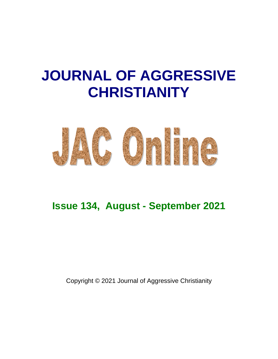# **JOURNAL OF AGGRESSIVE CHRISTIANITY**



# **Issue 134, August - September 2021**

Copyright © 2021 Journal of Aggressive Christianity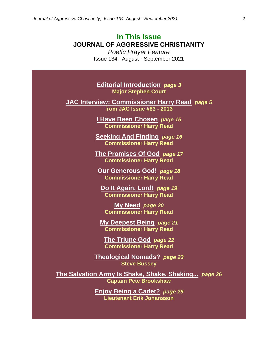# **In This Issue JOURNAL OF AGGRESSIVE CHRISTIANITY**

*Poetic Prayer Feature* Issue 134, August - September 2021

**Editorial Introduction** *page 3* **Major Stephen Court**

**JAC Interview: Commissioner Harry Read** *page 5* **from JAC Issue #83 - 2013**

> **I Have Been Chosen** *page 15* **Commissioner Harry Read**

**Seeking And Finding** *page 16* **Commissioner Harry Read**

**The Promises Of God** *page 17* **Commissioner Harry Read**

**Our Generous God!** *page 18* **Commissioner Harry Read**

**Do It Again, Lord!** *page 19* **Commissioner Harry Read**

**My Need** *page 20* **Commissioner Harry Read**

**My Deepest Being** *page 21* **Commissioner Harry Read**

**The Triune God** *page 22* **Commissioner Harry Read**

**Theological Nomads?** *page 23* **Steve Bussey**

**The Salvation Army Is Shake, Shake, Shaking...** *page 26* **Captain Pete Brookshaw**

> **Enjoy Being a Cadet?** *page 29* **Lieutenant Erik Johansson**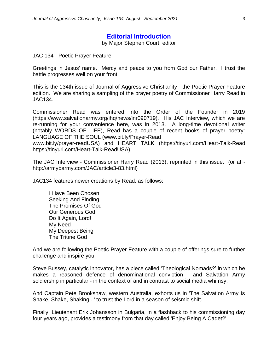# **Editorial Introduction**

by Major Stephen Court, editor

JAC 134 - Poetic Prayer Feature

Greetings in Jesus' name. Mercy and peace to you from God our Father. I trust the battle progresses well on your front.

This is the 134th issue of Journal of Aggressive Christianity - the Poetic Prayer Feature edition. We are sharing a sampling of the prayer poetry of Commissioner Harry Read in JAC134.

Commissioner Read was entered into the Order of the Founder in 2019 (https://www.salvationarmy.org/ihq/news/inr090719). His JAC Interview, which we are re-running for your convenience here, was in 2013. A long-time devotional writer (notably WORDS OF LIFE), Read has a couple of recent books of prayer poetry: LANGUAGE OF THE SOUL (www.bit.ly/Prayer-Read

www.bit.ly/prayer-readUSA) and HEART TALK (https://tinyurl.com/Heart-Talk-Read https://tinyurl.com/Heart-Talk-ReadUSA).

The JAC Interview - Commissioner Harry Read (2013), reprinted in this issue. (or at http://armybarmy.com/JAC/article3-83.html)

JAC134 features newer creations by Read, as follows:

I Have Been Chosen Seeking And Finding The Promises Of God Our Generous God! Do It Again, Lord! My Need My Deepest Being The Triune God

And we are following the Poetic Prayer Feature with a couple of offerings sure to further challenge and inspire you:

Steve Bussey, catalytic innovator, has a piece called 'Theological Nomads?' in which he makes a reasoned defence of denominational conviction - and Salvation Army soldiership in particular - in the context of and in contrast to social media whimsy.

And Captain Pete Brookshaw, western Australia, exhorts us in 'The Salvation Army Is Shake, Shake, Shaking...' to trust the Lord in a season of seismic shift.

Finally, Lieutenant Erik Johansson in Bulgaria, in a flashback to his commissioning day four years ago, provides a testimony from that day called 'Enjoy Being A Cadet?'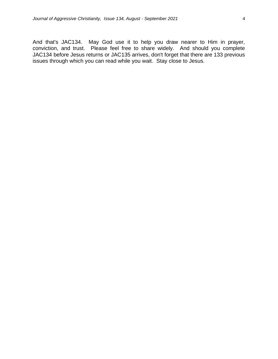And that's JAC134. May God use it to help you draw nearer to Him in prayer, conviction, and trust. Please feel free to share widely. And should you complete JAC134 before Jesus returns or JAC135 arrives, don't forget that there are 133 previous issues through which you can read while you wait. Stay close to Jesus.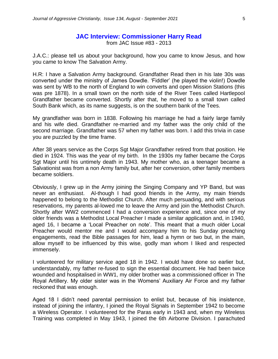#### **JAC Interview: Commissioner Harry Read** from JAC Issue #83 - 2013

J.A.C.: please tell us about your background, how you came to know Jesus, and how you came to know The Salvation Army.

H.R: I have a Salvation Army background. Grandfather Read then in his late 30s was converted under the ministry of James Dowdle. 'Fiddler' (he played the violin!) Dowdle was sent by WB to the north of England to win converts and open Mission Stations (this was pre 1878). In a small town on the north side of the River Tees called Hartlepool Grandfather became converted. Shortly after that, he moved to a small town called South Bank which, as its name suggests, is on the southern bank of the Tees.

My grandfather was born in 1838. Following his marriage he had a fairly large family and his wife died. Grandfather re-married and my father was the only child of the second marriage. Grandfather was 57 when my father was born. I add this trivia in case you are puzzled by the time frame.

After 38 years service as the Corps Sgt Major Grandfather retired from that position. He died in 1924. This was the year of my birth. In the 1930s my father became the Corps Sgt Major until his untimely death in 1943. My mother who, as a teenager became a Salvationist was from a non Army family but, after her conversion, other family members became soldiers.

Obviously, I grew up in the Army joining the Singing Company and YP Band, but was never an enthusiast. Al-though I had good friends in the Army, my main friends happened to belong to the Methodist Church. After much persuading, and with serious reservations, my parents al-lowed me to leave the Army and join the Methodist Church. Shortly after WW2 commenced I had a conversion experience and, since one of my older friends was a Methodist Local Preacher I made a similar application and, in 1940, aged 16, I became a 'Local Preacher on note'. This meant that a much older Local Preacher would mentor me and I would accompany him to his Sunday preaching engagements, read the Bible passages for him, lead a hymn or two but, in the main, allow myself to be influenced by this wise, godly man whom I liked and respected immensely.

I volunteered for military service aged 18 in 1942. I would have done so earlier but, understandably, my father re-fused to sign the essential document. He had been twice wounded and hospitalised in WW1, my older brother was a commissioned officer in The Royal Artillery. My older sister was in the Womens' Auxiliary Air Force and my father reckoned that was enough.

Aged 18 I didn't need parental permission to enlist but, because of his insistence, instead of joining the infantry, I joined the Royal Signals in September 1942 to become a Wireless Operator. I volunteered for the Paras early in 1943 and, when my Wireless Training was completed in May 1943, I joined the 6th Airborne Division. I parachuted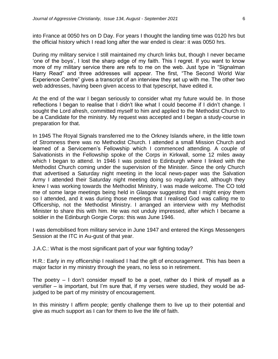into France at 0050 hrs on D Day. For years I thought the landing time was 0120 hrs but the official history which I read long after the war ended is clear: it was 0050 hrs.

During my military service I still maintained my church links but, though I never became 'one of the boys', I lost the sharp edge of my faith. This I regret. If you want to know more of my military service there are refs to me on the web. Just type in "Signalman Harry Read" and three addresses will appear. The first, "The Second World War Experience Centre" gives a transcript of an interview they set up with me. The other two web addresses, having been given access to that typescript, have edited it.

At the end of the war I began seriously to consider what my future would be. In those reflections I began to realise that I didn't like what I could become if I didn't change. I sought the Lord afresh, committed myself to him and applied to the Methodist Church to be a Candidate for the ministry. My request was accepted and I began a study-course in preparation for that.

In 1945 The Royal Signals transferred me to the Orkney Islands where, in the little town of Stromness there was no Methodist Church. I attended a small Mission Church and learned of a Servicemen's Fellowship which I commenced attending. A couple of Salvationists in the Fellowship spoke of the Corps in Kirkwall, some 12 miles away which I began to attend. In 1946 I was posted to Edinburgh where I linked with the Methodist Church coming under the supervision of the Minister. Since the only Church that advertised a Saturday night meeting in the local news-paper was the Salvation Army I attended their Saturday night meeting doing so regularly and, although they knew I was working towards the Methodist Ministry, I was made welcome. The CO told me of some large meetings being held in Glasgow suggesting that I might enjoy them so I attended, and it was during those meetings that I realised God was calling me to Officership, not the Methodist Ministry. I arranged an interview with my Methodist Minister to share this with him. He was not unduly impressed, after which I became a soldier in the Edinburgh Gorgie Corps: this was June 1946.

I was demobilised from military service in June 1947 and entered the Kings Messengers Session at the ITC in Au-gust of that year.

J.A.C.: What is the most significant part of your war fighting today?

H.R.: Early in my officership I realised I had the gift of encouragement. This has been a major factor in my ministry through the years, no less so in retirement.

The poetry – I don't consider myself to be a poet, rather do I think of myself as a versifier – is important, but I'm sure that, if my verses were studied, they would be adjudged to be part of my ministry of encouragement.

In this ministry I affirm people; gently challenge them to live up to their potential and give as much support as I can for them to live the life of faith.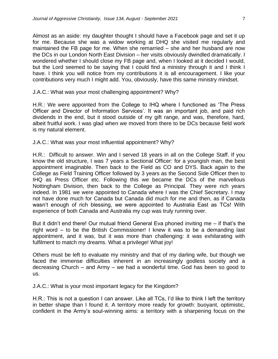Almost as an aside: my daughter thought I should have a Facebook page and set it up for me. Because she was a widow working at DHQ she visited me regularly and maintained the FB page for me. When she remarried – she and her husband are now the DCs in our London North East Division – her visits obviously dwindled dramatically. I wondered whether I should close my FB page and, when I looked at it decided I would, but the Lord seemed to be saying that I could find a ministry through it and I think I have. I think you will notice from my contributions it is all encouragement. I like your contributions very much I might add. You, obviously, have this same ministry mindset.

J.A.C.: What was your most challenging appointment? Why?

H.R.: We were appointed from the College to IHQ where I functioned as 'The Press Officer and Director of Information Services'. It was an important job, and paid rich dividends in the end, but it stood outside of my gift range, and was, therefore, hard, albeit fruitful work. I was glad when we moved from there to be DCs because field work is my natural element.

J.A.C.: What was your most influential appointment? Why?

H.R.: Difficult to answer. Win and I served 18 years in all on the College Staff. If you know the old structure, I was 7 years a Sectional Officer: for a youngish man, the best appointment imaginable. Then back to the Field as CO and DYS. Back again to the College as Field Training Officer followed by 3 years as the Second Side Officer then to IHQ as Press Officer etc. Following this we became the DCs of the marvellous Nottingham Division, then back to the College as Principal. They were rich years indeed. In 1981 we were appointed to Canada where I was the Chief Secretary. I may not have done much for Canada but Canada did much for me and then, as if Canada wasn't enough of rich blessing, we were appointed to Australia East as TCs! With experience of both Canada and Australia my cup was truly running over.

But it didn't end there! Our mutual friend General Eva phoned inviting me – if that's the right word – to be the British Commissioner! I knew it was to be a demanding last appointment, and it was, but it was more than challenging: it was exhilarating with fulfilment to match my dreams. What a privilege! What joy!

Others must be left to evaluate my ministry and that of my darling wife, but though we faced the immense difficulties inherent in an increasingly godless society and a decreasing Church – and Army – we had a wonderful time. God has been so good to us.

J.A.C.: What is your most important legacy for the Kingdom?

H.R.: This is not a question I can answer. Like all TCs, I'd like to think I left the territory in better shape than I found it. A territory more ready for growth: buoyant, optimistic, confident in the Army's soul-winning aims: a territory with a sharpening focus on the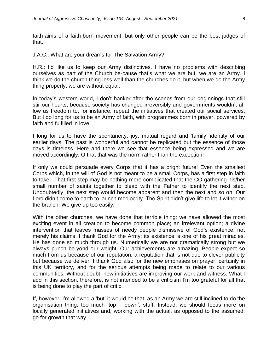faith-aims of a faith-born movement, but only other people can be the best judges of that.

J.A.C.: What are your dreams for The Salvation Army?

H.R.: I'd like us to keep our Army distinctives. I have no problems with describing ourselves as part of the Church be-cause that's what we are but, we are an Army. I think we do the church thing less well than the churches do it, but when we do the Army thing properly, we are without equal.

In today's western world, I don't hanker after the scenes from our beginnings that still stir our hearts, because society has changed irreversibly and governments wouldn't allow us freedom to, for instance, repeat the initiatives that created our social services. But I do long for us to be an Army of faith, with programmes born in prayer, powered by faith and fulfilled in love.

I long for us to have the spontaneity, joy, mutual regard and 'family' identity of our earlier days. The past is wonderful and cannot be replicated but the essence of those days is timeless. Here and there we see that essence being expressed and we are moved accordingly. O that that was the norm rather than the exception!

If only we could persuade every Corps that it has a bright future! Even the smallest Corps which, in the will of God is not meant to be a small Corps, has a first step in faith to take. That first step may be nothing more complicated that the CO gathering his/her small number of saints together to plead with the Father to identify the next step. Undoubtedly, the next step would become apparent and then the next and so on. Our Lord didn't come to earth to launch mediocrity. The Spirit didn't give life to let it wither on the branch. We give up too easily.

With the other churches, we have done that terrible thing: we have allowed the most exciting event in all creation to become common place; an irrelevant option; a divine intervention that leaves masses of needy people dismissive of God's existence, not merely his claims. I thank God for the Army: its existence is one of his great miracles. He has done so much through us. Numerically we are not dramatically strong but we always punch be-yond our weight. Our achievements are amazing. People expect so much from us because of our reputation; a reputation that is not due to clever publicity but because we deliver. I thank God also for the new emphases on prayer, certainly in this UK territory, and for the serious attempts being made to relate to our various communities. Without doubt, new initiatives are improving our work and witness. What I add in this section, therefore, is not intended to be a criticism I'm too grateful for all that is being done to play the part of critic.

If, however, I'm allowed a 'but' it would be that, as an Army we are still inclined to do the organisation thing: too much 'top – down', stuff. Instead, we should focus more on locally generated initiatives and, working with the actual, as opposed to the assumed, go for growth that way.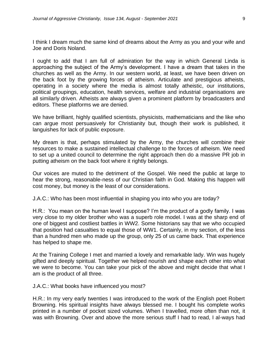I think I dream much the same kind of dreams about the Army as you and your wife and Joe and Doris Noland.

I ought to add that I am full of admiration for the way in which General Linda is approaching the subject of the Army's development. I have a dream that takes in the churches as well as the Army. In our western world, at least, we have been driven on the back foot by the growing forces of atheism. Articulate and prestigious atheists, operating in a society where the media is almost totally atheistic, our institutions, political groupings, education, health services, welfare and industrial organisations are all similarly driven. Atheists are always given a prominent platform by broadcasters and editors. These platforms we are denied.

We have brilliant, highly qualified scientists, physicists, mathematicians and the like who can argue most persuasively for Christianity but, though their work is published, it languishes for lack of public exposure.

My dream is that, perhaps stimulated by the Army, the churches will combine their resources to make a sustained intellectual challenge to the forces of atheism. We need to set up a united council to determine the right approach then do a massive PR job in putting atheism on the back foot where it rightly belongs.

Our voices are muted to the detriment of the Gospel. We need the public at large to hear the strong, reasonable-ness of our Christian faith in God. Making this happen will cost money, but money is the least of our considerations.

J.A.C.: Who has been most influential in shaping you into who you are today?

H.R.: You mean on the human level I suppose? I'm the product of a godly family. I was very close to my older brother who was a superb role model. I was at the sharp end of one of biggest and costliest battles in WW2. Some historians say that we who occupied that position had casualties to equal those of WW1. Certainly, in my section, of the less than a hundred men who made up the group, only 25 of us came back. That experience has helped to shape me.

At the Training College I met and married a lovely and remarkable lady. Win was hugely gifted and deeply spiritual. Together we helped nourish and shape each other into what we were to become. You can take your pick of the above and might decide that what I am is the product of all three.

J.A.C.: What books have influenced you most?

H.R.: In my very early twenties I was introduced to the work of the English poet Robert Browning. His spiritual insights have always blessed me. I bought his complete works printed in a number of pocket sized volumes. When I travelled, more often than not, it was with Browning. Over and above the more serious stuff I had to read, I al-ways had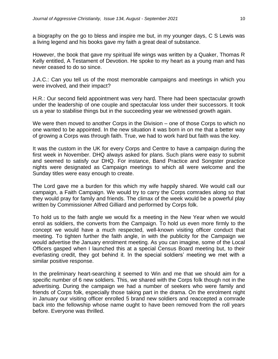a biography on the go to bless and inspire me but, in my younger days, C S Lewis was a living legend and his books gave my faith a great deal of substance.

However, the book that gave my spiritual life wings was written by a Quaker, Thomas R Kelly entitled, A Testament of Devotion. He spoke to my heart as a young man and has never ceased to do so since.

J.A.C.: Can you tell us of the most memorable campaigns and meetings in which you were involved, and their impact?

H.R.: Our second field appointment was very hard. There had been spectacular growth under the leadership of one couple and spectacular loss under their successors. It took us a year to stabilise things but in the succeeding year we witnessed growth again.

We were then moved to another Corps in the Division – one of those Corps to which no one wanted to be appointed. In the new situation it was born in on me that a better way of growing a Corps was through faith. True, we had to work hard but faith was the key.

It was the custom in the UK for every Corps and Centre to have a campaign during the first week in November. DHQ always asked for plans. Such plans were easy to submit and seemed to satisfy our DHQ. For instance, Band Practice and Songster practice nights were designated as Campaign meetings to which all were welcome and the Sunday titles were easy enough to create.

The Lord gave me a burden for this which my wife happily shared. We would call our campaign, a Faith Campaign. We would try to carry the Corps comrades along so that they would pray for family and friends. The climax of the week would be a powerful play written by Commissioner Alfred Gilliard and performed by Corps folk.

To hold us to the faith angle we would fix a meeting in the New Year when we would enrol as soldiers, the converts from the Campaign. To hold us even more firmly to the concept we would have a much respected, well-known visiting officer conduct that meeting. To tighten further the faith angle, in with the publicity for the Campaign we would advertise the January enrolment meeting. As you can imagine, some of the Local Officers gasped when I launched this at a special Census Board meeting but, to their everlasting credit, they got behind it. In the special soldiers' meeting we met with a similar positive response.

In the preliminary heart-searching it seemed to Win and me that we should aim for a specific number of 6 new soldiers. This, we shared with the Corps folk though not in the advertising. During the campaign we had a number of seekers who were family and friends of Corps folk, especially those taking part in the drama. On the enrolment night in January our visiting officer enrolled 5 brand new soldiers and reaccepted a comrade back into the fellowship whose name ought to have been removed from the roll years before. Everyone was thrilled.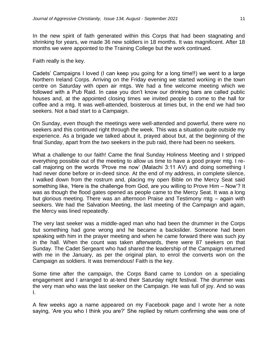In the new spirit of faith generated within this Corps that had been stagnating and shrinking for years, we made 36 new soldiers in 18 months. It was magnificent. After 18 months we were appointed to the Training College but the work continued.

Faith really is the key.

Cadets' Campaigns I loved (I can keep you going for a long time!!) we went to a large Northern Ireland Corps. Arriving on the Friday evening we started working in the town centre on Saturday with open air mtgs. We had a fine welcome meeting which we followed with a Pub Raid. In case you don't know our drinking bars are called public houses and, at the appointed closing times we invited people to come to the hall for coffee and a mtg. It was well-attended, boisterous at times but, in the end we had two seekers. Not a bad start to a Campaign.

On Sunday, even though the meetings were well-attended and powerful, there were no seekers and this continued right through the week. This was a situation quite outside my experience. As a brigade we talked about it, prayed about but, at the beginning of the final Sunday, apart from the two seekers in the pub raid, there had been no seekers.

What a challenge to our faith! Came the final Sunday Holiness Meeting and I stripped everything possible out of the meeting to allow us time to have a good prayer mtg. I recall majoring on the words 'Prove me now' (Malachi 3:11 AV) and doing something I had never done before or in-deed since. At the end of my address, in complete silence, I walked down from the rostrum and, placing my open Bible on the Mercy Seat said something like, 'Here is the challenge from God, are you willing to Prove Him – Now'? It was as though the flood gates opened as people came to the Mercy Seat. It was a long but glorious meeting. There was an afternoon Praise and Testimony mtg – again with seekers. We had the Salvation Meeting, the last meeting of the Campaign and again, the Mercy was lined repeatedly.

The very last seeker was a middle-aged man who had been the drummer in the Corps but something had gone wrong and he became a backslider. Someone had been speaking with him in the prayer meeting and when he came forward there was such joy in the hall. When the count was taken afterwards, there were 87 seekers on that Sunday. The Cadet Sergeant who had shared the leadership of the Campaign returned with me in the January, as per the original plan, to enrol the converts won on the Campaign as soldiers. It was tremendous! Faith is the key.

Some time after the campaign, the Corps Band came to London on a specialing engagement and I arranged to at-tend their Saturday night festival. The drummer was the very man who was the last seeker on the Campaign. He was full of joy. And so was I.

A few weeks ago a name appeared on my Facebook page and I wrote her a note saying, 'Are you who I think you are?' She replied by return confirming she was one of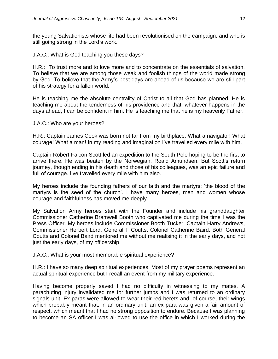the young Salvationists whose life had been revolutionised on the campaign, and who is still going strong in the Lord's work.

J.A.C.: What is God teaching you these days?

H.R.: To trust more and to love more and to concentrate on the essentials of salvation. To believe that we are among those weak and foolish things of the world made strong by God. To believe that the Army's best days are ahead of us because we are still part of his strategy for a fallen world.

He is teaching me the absolute centrality of Christ to all that God has planned. He is teaching me about the tenderness of his providence and that, whatever happens in the days ahead, I can be confident in him. He is teaching me that he is my heavenly Father.

J.A.C.: Who are your heroes?

H.R.: Captain James Cook was born not far from my birthplace. What a navigator! What courage! What a man! In my reading and imagination I've travelled every mile with him.

Captain Robert Falcon Scott led an expedition to the South Pole hoping to be the first to arrive there. He was beaten by the Norwegian, Roald Amundsen. But Scott's return journey, though ending in his death and those of his colleagues, was an epic failure and full of courage. I've travelled every mile with him also.

My heroes include the founding fathers of our faith and the martyrs: 'the blood of the martyrs is the seed of the church'. I have many heroes, men and women whose courage and faithfulness has moved me deeply.

My Salvation Army heroes start with the Founder and include his granddaughter Commissioner Catherine Bramwell Booth who captivated me during the time I was the Press Officer. My heroes include Commissioner Booth Tucker, Captain Harry Andrews, Commissioner Herbert Lord, General F Coutts, Colonel Catherine Baird. Both General Coutts and Colonel Baird mentored me without me realising it in the early days, and not just the early days, of my officership.

J.A.C.: What is your most memorable spiritual experience?

H.R.: I have so many deep spiritual experiences. Most of my prayer poems represent an actual spiritual experience but I recall an event from my military experience.

Having become properly saved I had no difficulty in witnessing to my mates. A parachuting injury invalidated me for further jumps and I was returned to an ordinary signals unit. Ex paras were allowed to wear their red berets and, of course, their wings which probably meant that, in an ordinary unit, an ex para was given a fair amount of respect, which meant that I had no strong opposition to endure. Because I was planning to become an SA officer I was al-lowed to use the office in which I worked during the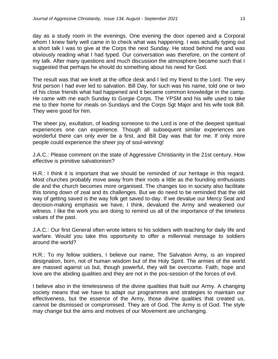day as a study room in the evenings. One evening the door opened and a Corporal whom I knew fairly well came in to check what was happening. I was actually typing out a short talk I was to give at the Corps the next Sunday. He stood behind me and was obviously reading what I had typed. Our conversation was therefore, on the content of my talk. After many questions and much discussion the atmosphere became such that I suggested that perhaps he should do something about his need for God.

The result was that we knelt at the office desk and I led my friend to the Lord. The very first person I had ever led to salvation. Bill Day, for such was his name, told one or two of his close friends what had happened and it became common knowledge in the camp. He came with me each Sunday to Gorgie Corps. The YPSM and his wife used to take me to their home for meals on Sundays and the Corps Sgt Major and his wife took Bill. They were good for him.

The sheer joy, exultation, of leading someone to the Lord is one of the deepest spiritual experiences one can experience. Though all subsequent similar experiences are wonderful there can only ever be a first, and Bill Day was that for me. If only more people could experience the sheer joy of soul-winning!

J.A.C.: Please comment on the state of Aggressive Christianity in the 21st century. How effective is primitive salvationism?

H.R.: I think it is important that we should be reminded of our heritage in this regard. Most churches probably move away from their roots a little as the founding enthusiasts die and the church becomes more organised. The changes too in society also facilitate this toning down of zeal and its challenges. But we do need to be reminded that the old way of getting saved is the way folk get saved to-day. If we devalue our Mercy Seat and decision-making emphasis we have, I think, devalued the Army and weakened our witness. I like the work you are doing to remind us all of the importance of the timeless values of the past.

J.A.C.: Our first General often wrote letters to his soldiers with teaching for daily life and warfare. Would you take this opportunity to offer a millennial message to soldiers around the world?

H.R.: To my fellow soldiers, I believe our name, The Salvation Army, is an inspired designation, born, not of human wisdom but of the Holy Spirit. The armies of the world are massed against us but, though powerful, they will be overcome. Faith, hope and love are the abiding qualities and they are not in the pos-session of the forces of evil.

I believe also in the timelessness of the divine qualities that built our Army. A changing society means that we have to adapt our programmes and strategies to maintain our effectiveness, but the essence of the Army, those divine qualities that created us, cannot be dismissed or compromised. They are of God. The Army is of God. The style may change but the aims and motives of our Movement are unchanging.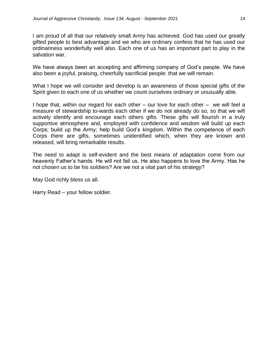I am proud of all that our relatively small Army has achieved. God has used our greatly gifted people to best advantage and we who are ordinary confess that he has used our ordinariness wonderfully well also. Each one of us has an important part to play in the salvation war.

We have always been an accepting and affirming company of God's people. We have also been a joyful, praising, cheerfully sacrificial people: that we will remain.

What I hope we will consider and develop is an awareness of those special gifts of the Spirit given to each one of us whether we count ourselves ordinary or unusually able.

I hope that, within our regard for each other – our love for each other – we will feel a measure of stewardship to-wards each other if we do not already do so, so that we will actively identify and encourage each others gifts. These gifts will flourish in a truly supportive atmosphere and, employed with confidence and wisdom will build up each Corps; build up the Army; help build God's kingdom. Within the competence of each Corps there are gifts, sometimes unidentified which, when they are known and released, will bring remarkable results.

The need to adapt is self-evident and the best means of adaptation come from our heavenly Father's hands. He will not fail us. He also happens to love the Army. Has he not chosen us to be his soldiers? Are we not a vital part of his strategy?

May God richly bless us all.

Harry Read – your fellow soldier.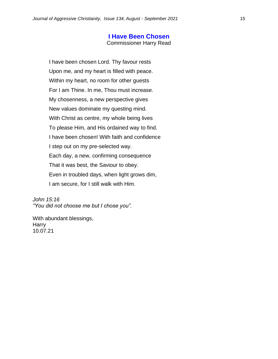#### **I Have Been Chosen**

Commissioner Harry Read

I have been chosen Lord. Thy favour rests Upon me, and my heart is filled with peace. Within my heart, no room for other guests For I am Thine. In me, Thou must increase. My chosenness, a new perspective gives New values dominate my questing mind. With Christ as centre, my whole being lives To please Him, and His ordained way to find. I have been chosen! With faith and confidence I step out on my pre-selected way. Each day, a new, confirming consequence That it was best, the Saviour to obey. Even in troubled days, when light grows dim, I am secure, for I still walk with Him.

*John 15:16 "You did not choose me but I chose you".*

With abundant blessings, **Harry** 10.07.21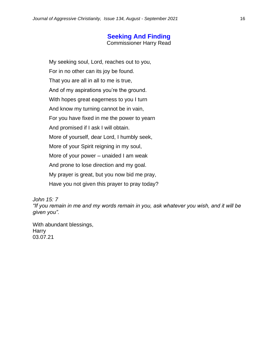# **Seeking And Finding**

Commissioner Harry Read

My seeking soul, Lord, reaches out to you, For in no other can its joy be found. That you are all in all to me is true, And of my aspirations you're the ground. With hopes great eagerness to you I turn And know my turning cannot be in vain, For you have fixed in me the power to yearn And promised if I ask I will obtain. More of yourself, dear Lord, I humbly seek, More of your Spirit reigning in my soul, More of your power – unaided I am weak And prone to lose direction and my goal. My prayer is great, but you now bid me pray, Have you not given this prayer to pray today?

*John 15: 7*

*"If you remain in me and my words remain in you, ask whatever you wish, and it will be given you".*

With abundant blessings, Harry 03.07.21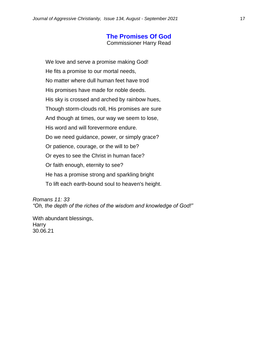# **The Promises Of God**

Commissioner Harry Read

We love and serve a promise making God! He fits a promise to our mortal needs, No matter where dull human feet have trod His promises have made for noble deeds. His sky is crossed and arched by rainbow hues, Though storm-clouds roll, His promises are sure And though at times, our way we seem to lose, His word and will forevermore endure. Do we need guidance, power, or simply grace? Or patience, courage, or the will to be? Or eyes to see the Christ in human face? Or faith enough, eternity to see? He has a promise strong and sparkling bright To lift each earth-bound soul to heaven's height.

*Romans 11: 33 "Oh, the depth of the riches of the wisdom and knowledge of God!"*

With abundant blessings, **Harry** 30.06.21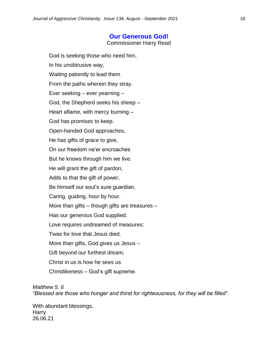# **Our Generous God!**

Commissioner Harry Read

God is seeking those who need him, In his unobtrusive way, Waiting patiently to lead them From the paths wherein they stray. Ever seeking – ever yearning – God, the Shepherd seeks his sheep – Heart aflame, with mercy burning – God has promises to keep. Open-handed God approaches, He has gifts of grace to give, On our freedom ne'er encroaches But he knows through him we live. He will grant the gift of pardon, Adds to that the gift of power, Be himself our soul's sure guardian, Caring, guiding, hour by hour. More than gifts – though gifts are treasures – Has our generous God supplied. Love requires undreamed of measures: Twas for love that Jesus died. More than gifts, God gives us Jesus – Gift beyond our furthest dream, Christ in us is how he sees us Christlikeness – God's gift supreme.

#### *Matthew 5: 6*

*"Blessed are those who hunger and thirst for righteousness, for they will be filled".*

With abundant blessings, **Harry** 26.06.21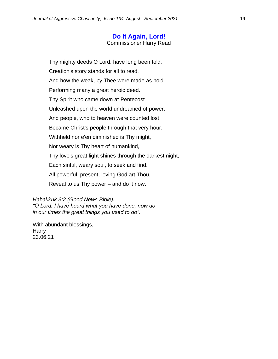# **Do It Again, Lord!**

Commissioner Harry Read

Thy mighty deeds O Lord, have long been told. Creation's story stands for all to read, And how the weak, by Thee were made as bold Performing many a great heroic deed. Thy Spirit who came down at Pentecost Unleashed upon the world undreamed of power, And people, who to heaven were counted lost Became Christ's people through that very hour. Withheld nor e'en diminished is Thy might, Nor weary is Thy heart of humankind, Thy love's great light shines through the darkest night, Each sinful, weary soul, to seek and find. All powerful, present, loving God art Thou, Reveal to us Thy power – and do it now.

*Habakkuk 3:2 (Good News Bible).*

*"O Lord, I have heard what you have done, now do in our times the great things you used to do".*

With abundant blessings, Harry 23.06.21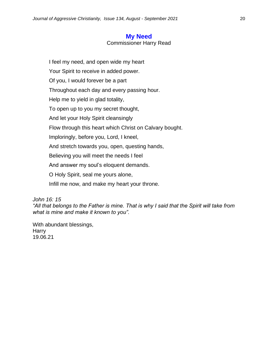# **My Need**

Commissioner Harry Read

I feel my need, and open wide my heart Your Spirit to receive in added power. Of you, I would forever be a part Throughout each day and every passing hour. Help me to yield in glad totality, To open up to you my secret thought, And let your Holy Spirit cleansingly Flow through this heart which Christ on Calvary bought. Imploringly, before you, Lord, I kneel, And stretch towards you, open, questing hands, Believing you will meet the needs I feel And answer my soul's eloquent demands. O Holy Spirit, seal me yours alone, Infill me now, and make my heart your throne.

*John 16: 15*

*"All that belongs to the Father is mine. That is why I said that the Spirit will take from what is mine and make it known to you".*

With abundant blessings, Harry 19.06.21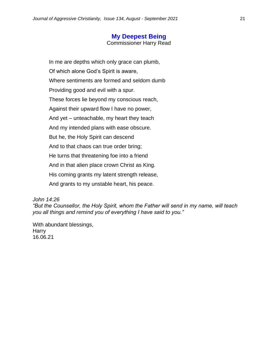# **My Deepest Being**

Commissioner Harry Read

In me are depths which only grace can plumb, Of which alone God's Spirit is aware, Where sentiments are formed and seldom dumb Providing good and evil with a spur. These forces lie beyond my conscious reach, Against their upward flow I have no power, And yet – unteachable, my heart they teach And my intended plans with ease obscure. But he, the Holy Spirit can descend And to that chaos can true order bring; He turns that threatening foe into a friend And in that alien place crown Christ as King. His coming grants my latent strength release, And grants to my unstable heart, his peace.

*John 14:26*

*"But the Counsellor, the Holy Spirit, whom the Father will send in my name, will teach you all things and remind you of everything I have said to you."*

With abundant blessings, Harry 16.06.21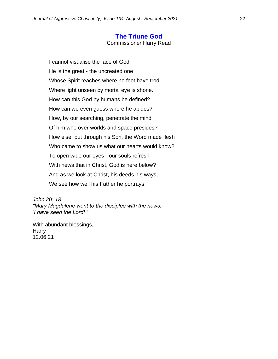#### **The Triune God**

Commissioner Harry Read

I cannot visualise the face of God, He is the great - the uncreated one Whose Spirit reaches where no feet have trod, Where light unseen by mortal eye is shone. How can this God by humans be defined? How can we even guess where he abides? How, by our searching, penetrate the mind Of him who over worlds and space presides? How else, but through his Son, the Word made flesh Who came to show us what our hearts would know? To open wide our eyes - our souls refresh With news that in Christ, God is here below? And as we look at Christ, his deeds his ways, We see how well his Father he portrays.

*John 20: 18 "Mary Magdalene went to the disciples with the news: 'I have seen the Lord!'"*

With abundant blessings, Harry 12.06.21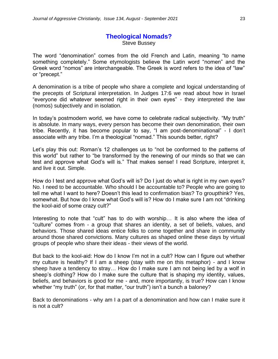# **Theological Nomads?** Steve Bussey

The word "denomination" comes from the old French and Latin, meaning "to name something completely." Some etymologists believe the Latin word "nomen" and the Greek word "nomos" are interchangeable. The Greek is word refers to the idea of "law" or "precept."

A denomination is a tribe of people who share a complete and logical understanding of the precepts of Scriptural interpretation. In Judges 17:6 we read about how in Israel "everyone did whatever seemed right in their own eyes" - they interpreted the law (nomos) subjectively and in isolation.

In today's postmodern world, we have come to celebrate radical subjectivity. "My truth" is absolute. In many ways, every person has become their own denomination, their own tribe. Recently, it has become popular to say, "I am post-denominational" - I don't associate with any tribe. I'm a theological "nomad." This sounds better, right?

Let's play this out: Roman's 12 challenges us to "not be conformed to the patterns of this world" but rather to "be transformed by the renewing of our minds so that we can test and approve what God's will is." That makes sense! I read Scripture, interpret it, and live it out. Simple.

How do I test and approve what God's will is? Do I just do what is right in my own eyes? No. I need to be accountable. Who should I be accountable to? People who are going to tell me what I want to here? Doesn't this lead to confirmation bias? To groupthink? Yes, somewhat. But how do I know what God's will is? How do I make sure I am not "drinking the kool-aid of some crazy cult?"

Interesting to note that "cult" has to do with worship… It is also where the idea of "culture" comes from - a group that shares an identity, a set of beliefs, values, and behaviors. Those shared ideas entice folks to come together and share in community around those shared convictions. Many cultures as shaped online these days by virtual groups of people who share their ideas - their views of the world.

But back to the kool-aid: How do I know I'm not in a cult? How can I figure out whether my culture is healthy? If I am a sheep (stay with me on this metaphor) - and I know sheep have a tendency to stray… How do I make sure I am not being led by a wolf in sheep's clothing? How do I make sure the culture that is shaping my identity, values, beliefs, and behaviors is good for me - and, more importantly, is true? How can I know whether "my truth" (or, for that matter, "our truth") isn't a bunch a baloney?

Back to denominations - why am I a part of a denomination and how can I make sure it is not a cult?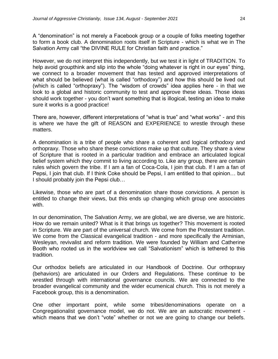A "denomination" is not merely a Facebook group or a couple of folks meeting together to form a book club. A denomination roots itself in Scripture - which is what we in The Salvation Army call "the DIVINE RULE for Christian faith and practice."

However, we do not interpret this independently, but we test it in light of TRADITION. To help avoid groupthink and slip into the whole "doing whatever is right in our eyes" thing, we connect to a broader movement that has tested and approved interpretations of what should be believed (what is called "orthodoxy") and how this should be lived out (which is called "orthopraxy"). The "wisdom of crowds" idea applies here - in that we look to a global and historic community to test and approve these ideas. Those ideas should work together - you don't want something that is illogical, testing an idea to make sure it works is a good practice!

There are, however, different interpretations of "what is true" and "what works" - and this is where we have the gift of REASON and EXPERIENCE to wrestle through these matters.

A denomination is a tribe of people who share a coherent and logical orthodoxy and orthopraxy. Those who share these convictions make up that culture. They share a view of Scripture that is rooted in a particular tradition and embrace an articulated logical belief system which they commit to living according to. Like any group, there are certain rules which govern the tribe. If I am a fan of Coca-Cola, I join that club. If I am a fan of Pepsi, I join that club. If I think Coke should be Pepsi, I am entitled to that opinion… but I should probably join the Pepsi club…

Likewise, those who are part of a denomination share those convictions. A person is entitled to change their views, but this ends up changing which group one associates with.

In our denomination, The Salvation Army, we are global, we are diverse, we are historic. How do we remain united? What is it that brings us together? This movement is rooted in Scripture. We are part of the universal church. We come from the Protestant tradition. We come from the Classical evangelical tradition - and more specifically the Arminian, Wesleyan, revivalist and reform tradition. We were founded by William and Catherine Booth who rooted us in the worldview we call "Salvationism" which is tethered to this tradition.

Our orthodox beliefs are articulated in our Handbook of Doctrine. Our orthopraxy (behaviors) are articulated in our Orders and Regulations. These continue to be wrestled through with international governance councils. We are connected to the broader evangelical community and the wider ecumenical church. This is not merely a Facebook group, this is a denomination.

One other important point, while some tribes/denominations operate on a Congregationalist governance model, we do not. We are an autocratic movement which means that we don't "vote" whether or not we are going to change our beliefs.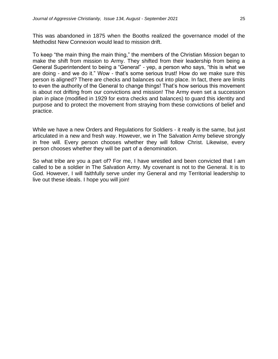This was abandoned in 1875 when the Booths realized the governance model of the Methodist New Connexion would lead to mission drift.

To keep "the main thing the main thing," the members of the Christian Mission began to make the shift from mission to Army. They shifted from their leadership from being a General Superintendent to being a "General" - yep, a person who says, "this is what we are doing - and we do it." Wow - that's some serious trust! How do we make sure this person is aligned? There are checks and balances out into place. In fact, there are limits to even the authority of the General to change things! That's how serious this movement is about not drifting from our convictions and mission! The Army even set a succession plan in place (modified in 1929 for extra checks and balances) to guard this identity and purpose and to protect the movement from straying from these convictions of belief and practice.

While we have a new Orders and Regulations for Soldiers - it really is the same, but just articulated in a new and fresh way. However, we in The Salvation Army believe strongly in free will. Every person chooses whether they will follow Christ. Likewise, every person chooses whether they will be part of a denomination.

So what tribe are you a part of? For me, I have wrestled and been convicted that I am called to be a soldier in The Salvation Army. My covenant is not to the General. It is to God. However, I will faithfully serve under my General and my Territorial leadership to live out these ideals. I hope you will join!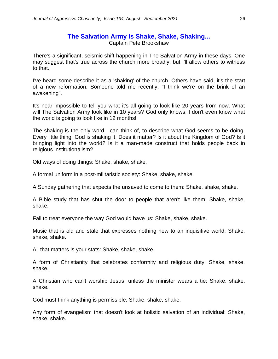# **The Salvation Army Is Shake, Shake, Shaking...**

Captain Pete Brookshaw

There's a significant, seismic shift happening in The Salvation Army in these days. One may suggest that's true across the church more broadly, but I'll allow others to witness to that.

I've heard some describe it as a 'shaking' of the church. Others have said, it's the start of a new reformation. Someone told me recently, "I think we're on the brink of an awakening".

It's near impossible to tell you what it's all going to look like 20 years from now. What will The Salvation Army look like in 10 years? God only knows. I don't even know what the world is going to look like in 12 months!

The shaking is the only word I can think of, to describe what God seems to be doing. Every little thing, God is shaking it. Does it matter? Is it about the Kingdom of God? Is it bringing light into the world? Is it a man-made construct that holds people back in religious institutionalism?

Old ways of doing things: Shake, shake, shake.

A formal uniform in a post-militaristic society: Shake, shake, shake.

A Sunday gathering that expects the unsaved to come to them: Shake, shake, shake.

A Bible study that has shut the door to people that aren't like them: Shake, shake, shake.

Fail to treat everyone the way God would have us: Shake, shake, shake.

Music that is old and stale that expresses nothing new to an inquisitive world: Shake, shake, shake.

All that matters is your stats: Shake, shake, shake.

A form of Christianity that celebrates conformity and religious duty: Shake, shake, shake.

A Christian who can't worship Jesus, unless the minister wears a tie: Shake, shake, shake.

God must think anything is permissible: Shake, shake, shake.

Any form of evangelism that doesn't look at holistic salvation of an individual: Shake, shake, shake.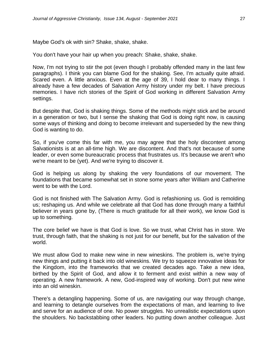Maybe God's ok with sin? Shake, shake, shake.

You don't have your hair up when you preach: Shake, shake, shake.

Now, I'm not trying to stir the pot (even though I probably offended many in the last few paragraphs). I think you can blame God for the shaking. See, I'm actually quite afraid. Scared even. A little anxious. Even at the age of 39, I hold dear to many things. I already have a few decades of Salvation Army history under my belt. I have precious memories. I have rich stories of the Spirit of God working in different Salvation Army settings.

But despite that, God is shaking things. Some of the methods might stick and be around in a generation or two, but I sense the shaking that God is doing right now, is causing some ways of thinking and doing to become irrelevant and superseded by the new thing God is wanting to do.

So, if you've come this far with me, you may agree that the holy discontent among Salvationists is at an all-time high. We are discontent. And that's not because of some leader, or even some bureaucratic process that frustrates us. It's because we aren't who we're meant to be (yet). And we're trying to discover it.

God is helping us along by shaking the very foundations of our movement. The foundations that became somewhat set in stone some years after William and Catherine went to be with the Lord.

God is not finished with The Salvation Army. God is refashioning us. God is remolding us; reshaping us. And while we celebrate all that God has done through many a faithful believer in years gone by, (There is much gratitude for all their work), we know God is up to something.

The core belief we have is that God is love. So we trust, what Christ has in store. We trust, through faith, that the shaking is not just for our benefit, but for the salvation of the world.

We must allow God to make new wine in new wineskins. The problem is, we're trying new things and putting it back into old wineskins. We try to squeeze innovative ideas for the Kingdom, into the frameworks that we created decades ago. Take a new idea, birthed by the Spirit of God, and allow it to ferment and exist within a new way of operating. A new framework. A new, God-inspired way of working. Don't put new wine into an old wineskin.

There's a detangling happening. Some of us, are navigating our way through change, and learning to detangle ourselves from the expectations of man, and learning to live and serve for an audience of one. No power struggles. No unrealistic expectations upon the shoulders. No backstabbing other leaders. No putting down another colleague. Just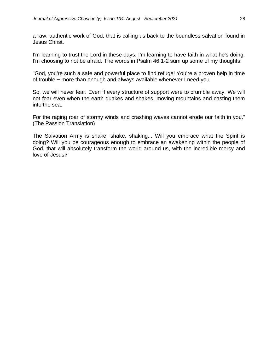a raw, authentic work of God, that is calling us back to the boundless salvation found in Jesus Christ.

I'm learning to trust the Lord in these days. I'm learning to have faith in what he's doing. I'm choosing to not be afraid. The words in Psalm 46:1-2 sum up some of my thoughts:

"God, you're such a safe and powerful place to find refuge! You're a proven help in time of trouble ~ more than enough and always available whenever I need you.

So, we will never fear. Even if every structure of support were to crumble away. We will not fear even when the earth quakes and shakes, moving mountains and casting them into the sea.

For the raging roar of stormy winds and crashing waves cannot erode our faith in you." (The Passion Translation)

The Salvation Army is shake, shake, shaking... Will you embrace what the Spirit is doing? Will you be courageous enough to embrace an awakening within the people of God, that will absolutely transform the world around us, with the incredible mercy and love of Jesus?